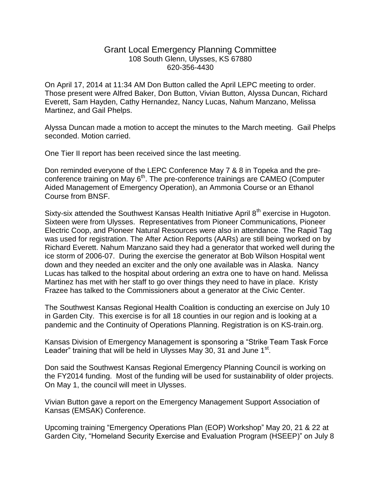## Grant Local Emergency Planning Committee 108 South Glenn, Ulysses, KS 67880 620-356-4430

On April 17, 2014 at 11:34 AM Don Button called the April LEPC meeting to order. Those present were Alfred Baker, Don Button, Vivian Button, Alyssa Duncan, Richard Everett, Sam Hayden, Cathy Hernandez, Nancy Lucas, Nahum Manzano, Melissa Martinez, and Gail Phelps.

Alyssa Duncan made a motion to accept the minutes to the March meeting. Gail Phelps seconded. Motion carried.

One Tier II report has been received since the last meeting.

Don reminded everyone of the LEPC Conference May 7 & 8 in Topeka and the preconference training on May 6<sup>th</sup>. The pre-conference trainings are CAMEO (Computer Aided Management of Emergency Operation), an Ammonia Course or an Ethanol Course from BNSF.

Sixty-six attended the Southwest Kansas Health Initiative April 8<sup>th</sup> exercise in Hugoton. Sixteen were from Ulysses. Representatives from Pioneer Communications, Pioneer Electric Coop, and Pioneer Natural Resources were also in attendance. The Rapid Tag was used for registration. The After Action Reports (AARs) are still being worked on by Richard Everett. Nahum Manzano said they had a generator that worked well during the ice storm of 2006-07. During the exercise the generator at Bob Wilson Hospital went down and they needed an exciter and the only one available was in Alaska. Nancy Lucas has talked to the hospital about ordering an extra one to have on hand. Melissa Martinez has met with her staff to go over things they need to have in place. Kristy Frazee has talked to the Commissioners about a generator at the Civic Center.

The Southwest Kansas Regional Health Coalition is conducting an exercise on July 10 in Garden City. This exercise is for all 18 counties in our region and is looking at a pandemic and the Continuity of Operations Planning. Registration is on KS-train.org.

Kansas Division of Emergency Management is sponsoring a "Strike Team Task Force Leader" training that will be held in Ulysses May 30, 31 and June  $1<sup>st</sup>$ .

Don said the Southwest Kansas Regional Emergency Planning Council is working on the FY2014 funding. Most of the funding will be used for sustainability of older projects. On May 1, the council will meet in Ulysses.

Vivian Button gave a report on the Emergency Management Support Association of Kansas (EMSAK) Conference.

Upcoming training "Emergency Operations Plan (EOP) Workshop" May 20, 21 & 22 at Garden City, "Homeland Security Exercise and Evaluation Program (HSEEP)" on July 8